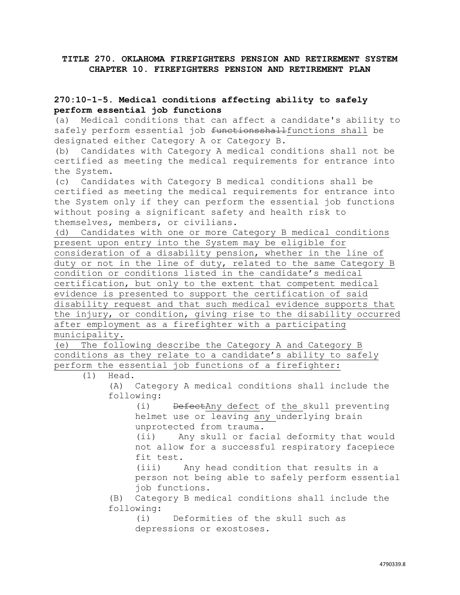## **TITLE 270. OKLAHOMA FIREFIGHTERS PENSION AND RETIREMENT SYSTEM CHAPTER 10. FIREFIGHTERS PENSION AND RETIREMENT PLAN**

## **270:10-1-5. Medical conditions affecting ability to safely perform essential job functions**

(a) Medical conditions that can affect a candidate's ability to safely perform essential job functionsshallfunctions shall be designated either Category A or Category B.

(b) Candidates with Category A medical conditions shall not be certified as meeting the medical requirements for entrance into the System.

(c) Candidates with Category B medical conditions shall be certified as meeting the medical requirements for entrance into the System only if they can perform the essential job functions without posing a significant safety and health risk to themselves, members, or civilians.

(d) Candidates with one or more Category B medical conditions present upon entry into the System may be eligible for consideration of a disability pension, whether in the line of duty or not in the line of duty, related to the same Category B condition or conditions listed in the candidate's medical certification, but only to the extent that competent medical evidence is presented to support the certification of said disability request and that such medical evidence supports that the injury, or condition, giving rise to the disability occurred after employment as a firefighter with a participating municipality.

(e) The following describe the Category A and Category B conditions as they relate to a candidate's ability to safely perform the essential job functions of a firefighter:

(1) Head.

(A) Category A medical conditions shall include the following:

(i) DefectAny defect of the skull preventing helmet use or leaving any underlying brain unprotected from trauma.

(ii) Any skull or facial deformity that would not allow for a successful respiratory facepiece fit test.

(iii) Any head condition that results in a person not being able to safely perform essential job functions.

(B) Category B medical conditions shall include the following:

(i) Deformities of the skull such as depressions or exostoses.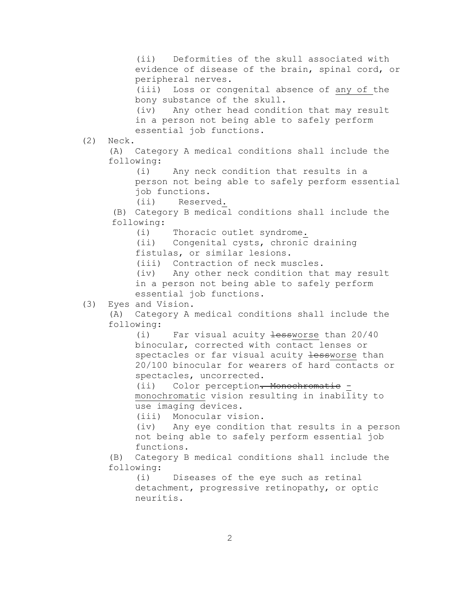(ii) Deformities of the skull associated with evidence of disease of the brain, spinal cord, or peripheral nerves. (iii) Loss or congenital absence of any of the bony substance of the skull. (iv) Any other head condition that may result in a person not being able to safely perform essential job functions. (2) Neck. (A) Category A medical conditions shall include the following: (i) Any neck condition that results in a person not being able to safely perform essential job functions. (ii) Reserved. (B) Category B medical conditions shall include the following: (i) Thoracic outlet syndrome. (ii) Congenital cysts, chronic draining fistulas, or similar lesions. (iii) Contraction of neck muscles. (iv) Any other neck condition that may result in a person not being able to safely perform essential job functions. (3) Eyes and Vision. (A) Category A medical conditions shall include the following: (i) Far visual acuity  $\frac{1}{100}$  tessworse than 20/40 binocular, corrected with contact lenses or spectacles or far visual acuity lessworse than 20/100 binocular for wearers of hard contacts or spectacles, uncorrected. (ii) Color perception. Monochromatic monochromatic vision resulting in inability to use imaging devices. (iii) Monocular vision. (iv) Any eye condition that results in a person not being able to safely perform essential job functions. (B) Category B medical conditions shall include the following: (i) Diseases of the eye such as retinal detachment, progressive retinopathy, or optic neuritis.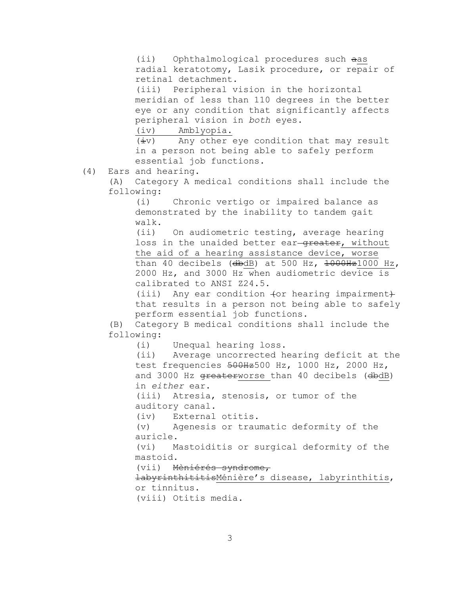(ii) Ophthalmological procedures such aas radial keratotomy, Lasik procedure, or repair of retinal detachment.

(iii) Peripheral vision in the horizontal meridian of less than 110 degrees in the better eye or any condition that significantly affects peripheral vision in *both* eyes.

(iv) Amblyopia.

 $(iiv)$  Any other eye condition that may result in a person not being able to safely perform essential job functions.

(4) Ears and hearing.

(A) Category A medical conditions shall include the following:

(i) Chronic vertigo or impaired balance as demonstrated by the inability to tandem gait walk.

(ii) On audiometric testing, average hearing loss in the unaided better ear-greater, without the aid of a hearing assistance device, worse than 40 decibels ( $dbdB$ ) at 500 Hz,  $1000Hz1000$  Hz, 2000 Hz, and 3000 Hz when audiometric device is calibrated to ANSI Z24.5.

 $(iii)$  Any ear condition  $f$ or hearing impairment $f$ that results in a person not being able to safely perform essential job functions.

(B) Category B medical conditions shall include the following:

(i) Unequal hearing loss.

(ii) Average uncorrected hearing deficit at the test frequencies 500Hz500 Hz, 1000 Hz, 2000 Hz, and 3000 Hz greaterworse than 40 decibels (dbdB) in *either* ear.

(iii) Atresia, stenosis, or tumor of the auditory canal.

(iv) External otitis.

(v) Agenesis or traumatic deformity of the auricle.

(vi) Mastoiditis or surgical deformity of the mastoid.

(vii) Mèniérés syndrome,

labyrinthititisMénière's disease, labyrinthitis, or tinnitus.

(viii) Otitis media.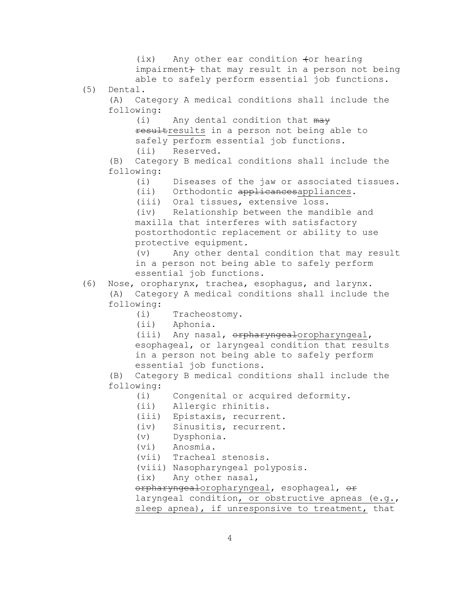$(ix)$  Any other ear condition  $for$  hearing impairment) that may result in a person not being able to safely perform essential job functions. (5) Dental. (A) Category A medical conditions shall include the following: (i) Any dental condition that may resultresults in a person not being able to safely perform essential job functions. (ii) Reserved. (B) Category B medical conditions shall include the following: (i) Diseases of the jaw or associated tissues. (ii) Orthodontic applicancesappliances. (iii) Oral tissues, extensive loss. (iv) Relationship between the mandible and maxilla that interferes with satisfactory postorthodontic replacement or ability to use protective equipment. (v) Any other dental condition that may result in a person not being able to safely perform essential job functions. (6) Nose, oropharynx, trachea, esophagus, and larynx. (A) Category A medical conditions shall include the following: (i) Tracheostomy. (ii) Aphonia. (iii) Any nasal, orpharyngealoropharyngeal, esophageal, or laryngeal condition that results in a person not being able to safely perform essential job functions. (B) Category B medical conditions shall include the following: (i) Congenital or acquired deformity. (ii) Allergic rhinitis. (iii) Epistaxis, recurrent. (iv) Sinusitis, recurrent. (v) Dysphonia. (vi) Anosmia.

- (vii) Tracheal stenosis.
- (viii) Nasopharyngeal polyposis.
- (ix) Any other nasal,

orpharyngealoropharyngeal, esophageal, or laryngeal condition, or obstructive apneas (e.g., sleep apnea), if unresponsive to treatment, that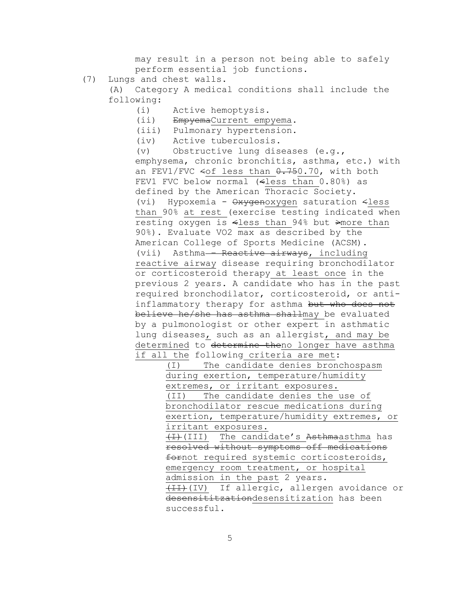may result in a person not being able to safely perform essential job functions.

(7) Lungs and chest walls.

(A) Category A medical conditions shall include the following:

- (i) Active hemoptysis.
- (ii) EmpyemaCurrent empyema.
- (iii) Pulmonary hypertension.
- (iv) Active tuberculosis.

(v) Obstructive lung diseases (e.g., emphysema, chronic bronchitis, asthma, etc.) with an FEV1/FVC  $\leq$ of less than  $0.750.70$ , with both FEV1 FVC below normal (<less than 0.80%) as defined by the American Thoracic Society. (vi) Hypoxemia -  $\theta$ xyqenoxyqen saturation <less than 90% at rest (exercise testing indicated when resting oxygen is <less than 94% but >more than 90%). Evaluate VO2 max as described by the American College of Sports Medicine (ACSM). (vii) Asthma - Reactive airways, including reactive airway disease requiring bronchodilator or corticosteroid therapy at least once in the previous 2 years. A candidate who has in the past required bronchodilator, corticosteroid, or antiinflammatory therapy for asthma but who does not believe he/she has asthma shallmay be evaluated by a pulmonologist or other expert in asthmatic lung diseases, such as an allergist, and may be determined to determine theno longer have asthma if all the following criteria are met:

> (I) The candidate denies bronchospasm during exertion, temperature/humidity extremes, or irritant exposures. (II) The candidate denies the use of bronchodilator rescue medications during exertion, temperature/humidity extremes, or irritant exposures.

(I)(III) The candidate's Asthmaasthma has resolved without symptoms off medications fornot required systemic corticosteroids, emergency room treatment, or hospital admission in the past 2 years. (II)(IV) If allergic, allergen avoidance or desensititzationdesensitization has been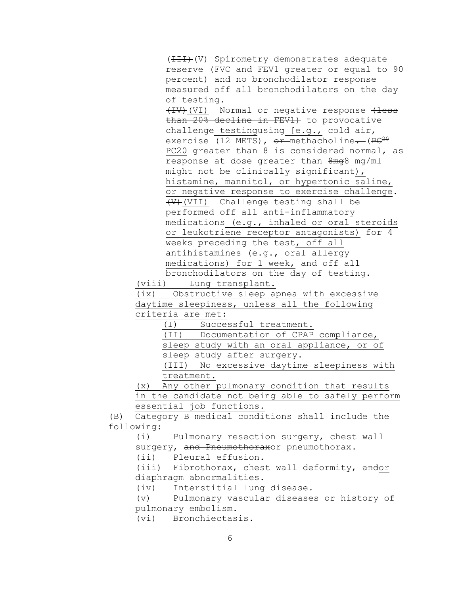(HII)(V) Spirometry demonstrates adequate reserve (FVC and FEV1 greater or equal to 90 percent) and no bronchodilator response measured off all bronchodilators on the day of testing. (IV)(VI) Normal or negative response (less than 20% decline in FEV1) to provocative challenge testingusing [e.g., cold air, exercise (12 METS),  $or$ -methacholine.  $(PC^{20}$ PC20 greater than 8 is considered normal, as response at dose greater than  $8mg8$  mg/ml might not be clinically significant), histamine, mannitol, or hypertonic saline, or negative response to exercise challenge. (V)(VII) Challenge testing shall be performed off all anti-inflammatory medications (e.g., inhaled or oral steroids or leukotriene receptor antagonists) for 4 weeks preceding the test, off all antihistamines (e.g., oral allergy medications) for 1 week, and off all bronchodilators on the day of testing.

(viii) Lung transplant.

(ix) Obstructive sleep apnea with excessive daytime sleepiness, unless all the following criteria are met:

(I) Successful treatment.

(II) Documentation of CPAP compliance,

sleep study with an oral appliance, or of

sleep study after surgery.

(III) No excessive daytime sleepiness with treatment.

(x) Any other pulmonary condition that results in the candidate not being able to safely perform essential job functions.

(B) Category B medical conditions shall include the following:

(i) Pulmonary resection surgery, chest wall surgery, and Pneumothoraxor pneumothorax.

(ii) Pleural effusion.

(iii) Fibrothorax, chest wall deformity, andor diaphragm abnormalities.

(iv) Interstitial lung disease.

(v) Pulmonary vascular diseases or history of pulmonary embolism.

(vi) Bronchiectasis.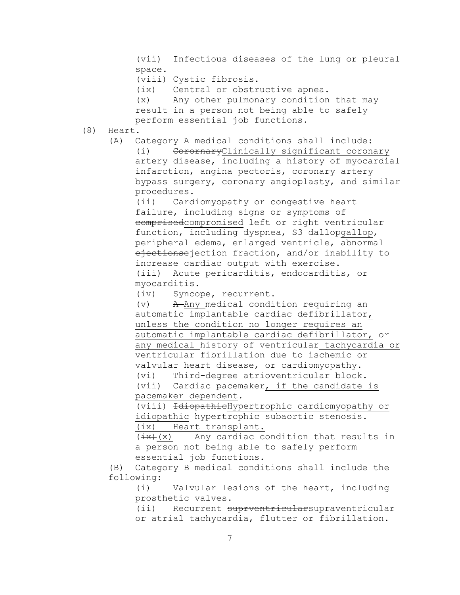(vii) Infectious diseases of the lung or pleural space.

(viii) Cystic fibrosis.

(ix) Central or obstructive apnea.

(x) Any other pulmonary condition that may result in a person not being able to safely perform essential job functions.

(8) Heart.

(A) Category A medical conditions shall include: (i) CorornaryClinically significant coronary artery disease, including a history of myocardial infarction, angina pectoris, coronary artery bypass surgery, coronary angioplasty, and similar procedures.

(ii) Cardiomyopathy or congestive heart failure, including signs or symptoms of comprisedcompromised left or right ventricular function, including dyspnea, S3 dallopgallop, peripheral edema, enlarged ventricle, abnormal ejectionsejection fraction, and/or inability to increase cardiac output with exercise. (iii) Acute pericarditis, endocarditis, or myocarditis.

(iv) Syncope, recurrent.

(v) A Any medical condition requiring an automatic implantable cardiac defibrillator, unless the condition no longer requires an automatic implantable cardiac defibrillator, or any medical history of ventricular tachycardia or ventricular fibrillation due to ischemic or valvular heart disease, or cardiomyopathy. (vi) Third-degree atrioventricular block.

(vii) Cardiac pacemaker, if the candidate is pacemaker dependent.

(viii) IdiopathicHypertrophic cardiomyopathy or idiopathic hypertrophic subaortic stenosis. (ix) Heart transplant.

 $(\pm x)$  ( $\pm$  X) Any cardiac condition that results in a person not being able to safely perform essential job functions.

(B) Category B medical conditions shall include the following:

(i) Valvular lesions of the heart, including prosthetic valves.

(ii) Recurrent suprventricularsupraventricular or atrial tachycardia, flutter or fibrillation.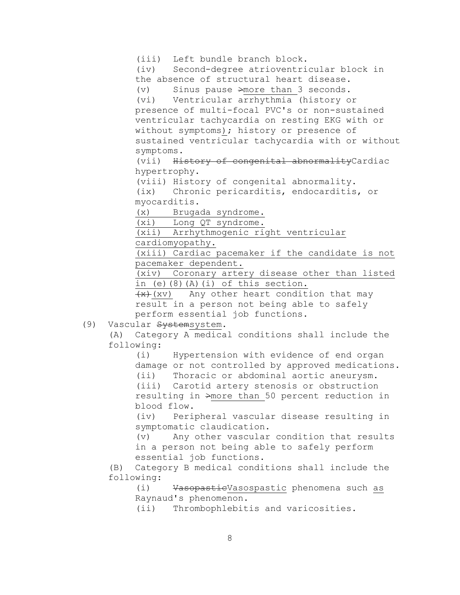(iii) Left bundle branch block. (iv) Second-degree atrioventricular block in the absence of structural heart disease. (v) Sinus pause >more than 3 seconds. (vi) Ventricular arrhythmia (history or presence of multi-focal PVC's or non-sustained ventricular tachycardia on resting EKG with or without symptoms); history or presence of sustained ventricular tachycardia with or without symptoms. (vii) History of congenital abnormalityCardiac

hypertrophy.

(viii) History of congenital abnormality.

(ix) Chronic pericarditis, endocarditis, or myocarditis.

(x) Brugada syndrome.

(xi) Long QT syndrome.

(xii) Arrhythmogenic right ventricular

cardiomyopathy.

(xiii) Cardiac pacemaker if the candidate is not pacemaker dependent.

(xiv) Coronary artery disease other than listed in (e)(8)(A)(i) of this section.

 $+x+(xv)$  Any other heart condition that may result in a person not being able to safely perform essential job functions.

(9) Vascular Systemsystem.

(A) Category A medical conditions shall include the following:

(i) Hypertension with evidence of end organ damage or not controlled by approved medications. (ii) Thoracic or abdominal aortic aneurysm. (iii) Carotid artery stenosis or obstruction resulting in >more than 50 percent reduction in

blood flow.

(iv) Peripheral vascular disease resulting in symptomatic claudication.

(v) Any other vascular condition that results in a person not being able to safely perform essential job functions.

(B) Category B medical conditions shall include the following:

(i) VasopasticVasospastic phenomena such as Raynaud's phenomenon.

(ii) Thrombophlebitis and varicosities.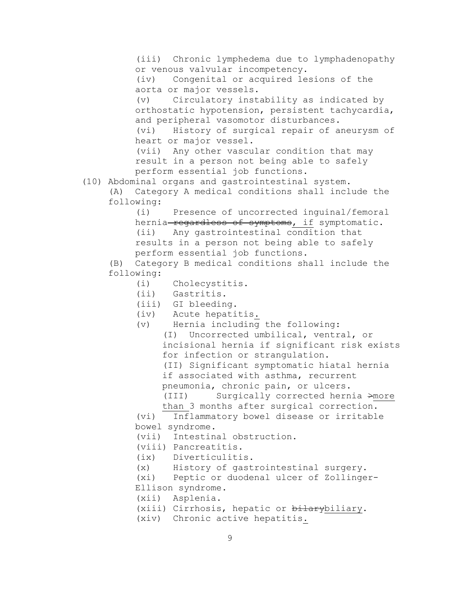(iii) Chronic lymphedema due to lymphadenopathy or venous valvular incompetency. (iv) Congenital or acquired lesions of the aorta or major vessels. (v) Circulatory instability as indicated by orthostatic hypotension, persistent tachycardia, and peripheral vasomotor disturbances. (vi) History of surgical repair of aneurysm of heart or major vessel. (vii) Any other vascular condition that may result in a person not being able to safely perform essential job functions. (10) Abdominal organs and gastrointestinal system. (A) Category A medical conditions shall include the following: (i) Presence of uncorrected inguinal/femoral hernia-regardless of symptoms, if symptomatic. (ii) Any gastrointestinal condition that results in a person not being able to safely perform essential job functions. (B) Category B medical conditions shall include the following: (i) Cholecystitis. (ii) Gastritis. (iii) GI bleeding. (iv) Acute hepatitis. (v) Hernia including the following: (I) Uncorrected umbilical, ventral, or incisional hernia if significant risk exists for infection or strangulation. (II) Significant symptomatic hiatal hernia if associated with asthma, recurrent pneumonia, chronic pain, or ulcers. (III) Surgically corrected hernia >more than 3 months after surgical correction. (vi) Inflammatory bowel disease or irritable bowel syndrome. (vii) Intestinal obstruction. (viii) Pancreatitis. (ix) Diverticulitis. (x) History of gastrointestinal surgery. (xi) Peptic or duodenal ulcer of Zollinger-Ellison syndrome. (xii) Asplenia. (xiii) Cirrhosis, hepatic or bilarybiliary. (xiv) Chronic active hepatitis.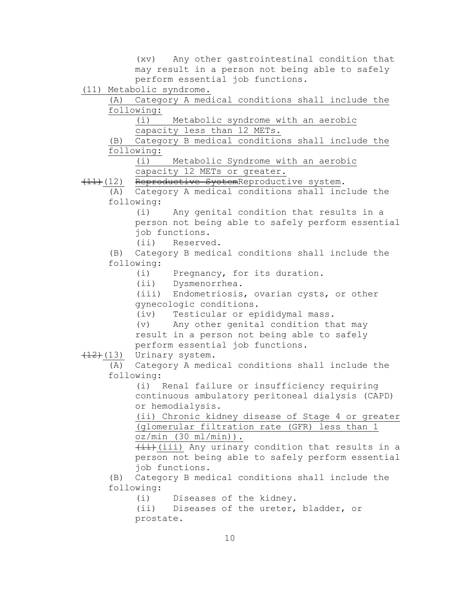(xv) Any other gastrointestinal condition that may result in a person not being able to safely perform essential job functions.

(11) Metabolic syndrome.

(A) Category A medical conditions shall include the following:

(i) Metabolic syndrome with an aerobic capacity less than 12 METs.

(B) Category B medical conditions shall include the following:

(i) Metabolic Syndrome with an aerobic capacity 12 METs or greater.

(11)(12) Reproductive SystemReproductive system.

(A) Category A medical conditions shall include the following:

> (i) Any genital condition that results in a person not being able to safely perform essential job functions.

(ii) Reserved.

(B) Category B medical conditions shall include the following:

(i) Pregnancy, for its duration.

(ii) Dysmenorrhea.

(iii) Endometriosis, ovarian cysts, or other gynecologic conditions.

(iv) Testicular or epididymal mass.

(v) Any other genital condition that may result in a person not being able to safely perform essential job functions.

 $(12)$  (13) Urinary system.

(A) Category A medical conditions shall include the following:

(i) Renal failure or insufficiency requiring continuous ambulatory peritoneal dialysis (CAPD) or hemodialysis.

(ii) Chronic kidney disease of Stage 4 or greater (glomerular filtration rate (GFR) less than 1  $oz/min (30 ml/min)$ .

 $\{\pm i\}$ (iii) Any urinary condition that results in a person not being able to safely perform essential job functions.

(B) Category B medical conditions shall include the following:

(i) Diseases of the kidney.

(ii) Diseases of the ureter, bladder, or prostate.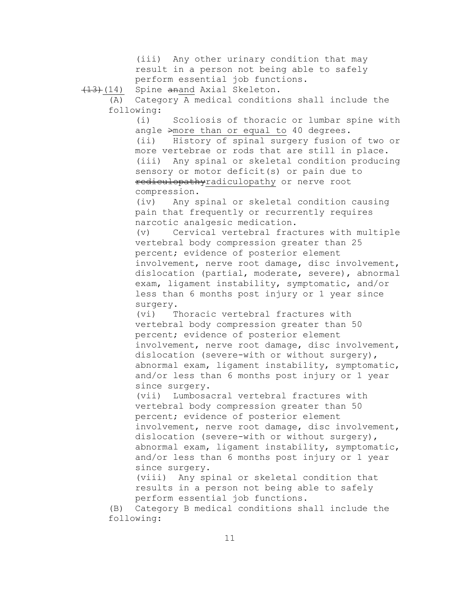(iii) Any other urinary condition that may result in a person not being able to safely perform essential job functions. (13)(14) Spine anand Axial Skeleton. (A) Category A medical conditions shall include the following: (i) Scoliosis of thoracic or lumbar spine with angle >more than or equal to 40 degrees. (ii) History of spinal surgery fusion of two or more vertebrae or rods that are still in place. (iii) Any spinal or skeletal condition producing sensory or motor deficit(s) or pain due to rediculopathyradiculopathy or nerve root compression. (iv) Any spinal or skeletal condition causing pain that frequently or recurrently requires narcotic analgesic medication. (v) Cervical vertebral fractures with multiple vertebral body compression greater than 25 percent; evidence of posterior element involvement, nerve root damage, disc involvement, dislocation (partial, moderate, severe), abnormal exam, ligament instability, symptomatic, and/or less than 6 months post injury or 1 year since surgery. (vi) Thoracic vertebral fractures with vertebral body compression greater than 50 percent; evidence of posterior element involvement, nerve root damage, disc involvement, dislocation (severe-with or without surgery), abnormal exam, ligament instability, symptomatic, and/or less than 6 months post injury or 1 year since surgery. (vii) Lumbosacral vertebral fractures with vertebral body compression greater than 50 percent; evidence of posterior element involvement, nerve root damage, disc involvement, dislocation (severe-with or without surgery), abnormal exam, ligament instability, symptomatic, and/or less than 6 months post injury or 1 year since surgery. (viii) Any spinal or skeletal condition that results in a person not being able to safely perform essential job functions. (B) Category B medical conditions shall include the following: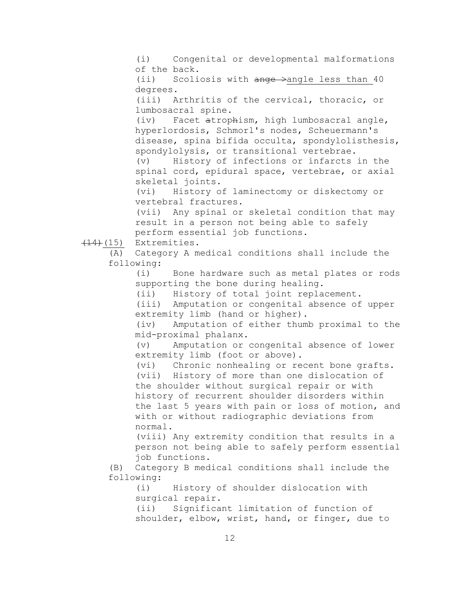(i) Congenital or developmental malformations of the back. (ii) Scoliosis with ange  $\rightarrow$  angle less than 40 degrees. (iii) Arthritis of the cervical, thoracic, or lumbosacral spine. (iv) Facet atrophism, high lumbosacral angle, hyperlordosis, Schmorl's nodes, Scheuermann's disease, spina bifida occulta, spondylolisthesis, spondylolysis, or transitional vertebrae. (v) History of infections or infarcts in the spinal cord, epidural space, vertebrae, or axial skeletal joints. (vi) History of laminectomy or diskectomy or vertebral fractures. (vii) Any spinal or skeletal condition that may result in a person not being able to safely perform essential job functions.  $(14)$  $(15)$  Extremities. (A) Category A medical conditions shall include the following: (i) Bone hardware such as metal plates or rods supporting the bone during healing. (ii) History of total joint replacement. (iii) Amputation or congenital absence of upper extremity limb (hand or higher). (iv) Amputation of either thumb proximal to the mid-proximal phalanx. (v) Amputation or congenital absence of lower extremity limb (foot or above). (vi) Chronic nonhealing or recent bone grafts. (vii) History of more than one dislocation of the shoulder without surgical repair or with history of recurrent shoulder disorders within the last 5 years with pain or loss of motion, and with or without radiographic deviations from normal. (viii) Any extremity condition that results in a person not being able to safely perform essential job functions. (B) Category B medical conditions shall include the following: (i) History of shoulder dislocation with surgical repair. (ii) Significant limitation of function of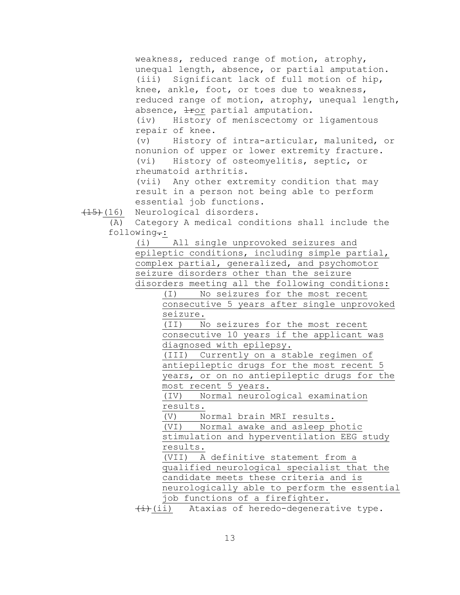weakness, reduced range of motion, atrophy, unequal length, absence, or partial amputation. (iii) Significant lack of full motion of hip, knee, ankle, foot, or toes due to weakness, reduced range of motion, atrophy, unequal length, absence,  $\pm$ ror partial amputation. (iv) History of meniscectomy or ligamentous

repair of knee.

(v) History of intra-articular, malunited, or nonunion of upper or lower extremity fracture. (vi) History of osteomyelitis, septic, or rheumatoid arthritis.

(vii) Any other extremity condition that may result in a person not being able to perform essential job functions.

(15)(16) Neurological disorders.

(A) Category A medical conditions shall include the following.:

(i) All single unprovoked seizures and epileptic conditions, including simple partial, complex partial, generalized, and psychomotor seizure disorders other than the seizure disorders meeting all the following conditions:

> (I) No seizures for the most recent consecutive 5 years after single unprovoked seizure.

(II) No seizures for the most recent consecutive 10 years if the applicant was diagnosed with epilepsy.

(III) Currently on a stable regimen of antiepileptic drugs for the most recent 5 years, or on no antiepileptic drugs for the most recent 5 years.

(IV) Normal neurological examination results.

(V) Normal brain MRI results.

(VI) Normal awake and asleep photic stimulation and hyperventilation EEG study

results.

(VII) A definitive statement from a qualified neurological specialist that the candidate meets these criteria and is neurologically able to perform the essential job functions of a firefighter.

 $\overline{t+}(i)$  Ataxias of heredo-degenerative type.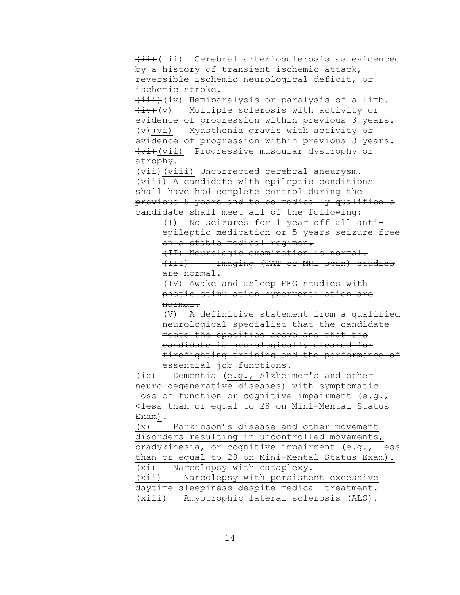(iii) Cerebral arteriosclerosis as evidenced by a history of transient ischemic attack, reversible ischemic neurological deficit, or ischemic stroke.  $\overline{(\texttt{iii})}$  (iv) Hemiparalysis or paralysis of a limb.  $\overline{(iv)}$  (v) Multiple sclerosis with activity or evidence of progression within previous 3 years. (v)(vi) Myasthenia gravis with activity or evidence of progression within previous 3 years. (vi)(vii) Progressive muscular dystrophy or atrophy.  $\overline{(vii)}$  (viii) Uncorrected cerebral aneurysm. (viii) A candidate with epileptic conditions shall have had complete control during the previous 5 years and to be medically qualified a candidate shall meet all of the following: (I) No seizures for 1 year off all antiepileptic medication or 5 years seizure free on a stable medical regimen. (II) Neurologic examination is normal. (III) Imaging (CAT or MRI scan) studies are normal. (IV) Awake and asleep EEG studies with photic stimulation hyperventilation are normal. (V) A definitive statement from a qualified neurological specialist that the candidate meets the specified above and that the candidate is neurologically cleared for firefighting training and the performance of essential job functions. (ix) Dementia (e.g., Alzheimer's and other neuro-degenerative diseases) with symptomatic loss of function or cognitive impairment (e.g., <less than or equal to 28 on Mini-Mental Status Exam). (x) Parkinson's disease and other movement disorders resulting in uncontrolled movements, bradykinesia, or cognitive impairment (e.g., less than or equal to 28 on Mini-Mental Status Exam). (xi) Narcolepsy with cataplexy.

(xii) Narcolepsy with persistent excessive daytime sleepiness despite medical treatment. (xiii) Amyotrophic lateral sclerosis (ALS).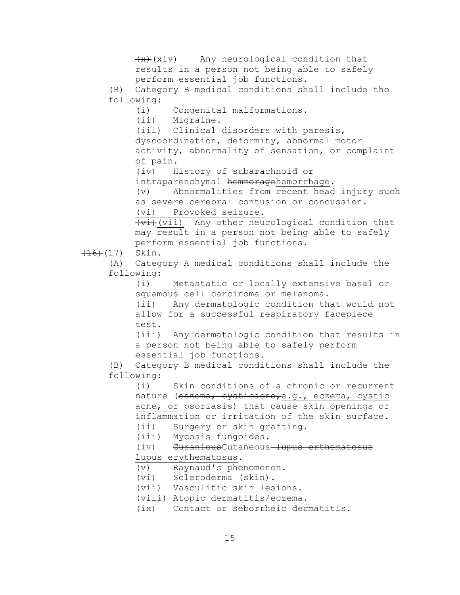$+x+(xi)v$  Any neurological condition that results in a person not being able to safely perform essential job functions. (B) Category B medical conditions shall include the following: (i) Congenital malformations. (ii) Migraine. (iii) Clinical disorders with paresis, dyscoordination, deformity, abnormal motor activity, abnormality of sensation, or complaint of pain. (iv) History of subarachnoid or intraparenchymal hemmoragehemorrhage. (v) Abnormalities from recent head injury such as severe cerebral contusion or concussion. (vi) Provoked seizure.  $(vii)$  Any other neurological condition that may result in a person not being able to safely perform essential job functions.  $(16)$   $(17)$  Skin. (A) Category A medical conditions shall include the following: (i) Metastatic or locally extensive basal or squamous cell carcinoma or melanoma. (ii) Any dermatologic condition that would not allow for a successful respiratory facepiece test. (iii) Any dermatologic condition that results in a person not being able to safely perform essential job functions. (B) Category B medical conditions shall include the following: (i) Skin conditions of a chronic or recurrent nature (eszema, cysticacne, e.g., eczema, cystic acne, or psoriasis) that cause skin openings or inflammation or irritation of the skin surface. (ii) Surgery or skin grafting. (iii) Mycosis fungoides. (iv) CuraniousCutaneous-lupus erthematosus lupus erythematosus. (v) Raynaud's phenomenon. (vi) Scleroderma (skin). (vii) Vasculitic skin lesions. (viii) Atopic dermatitis/eczema. (ix) Contact or seborrheic dermatitis.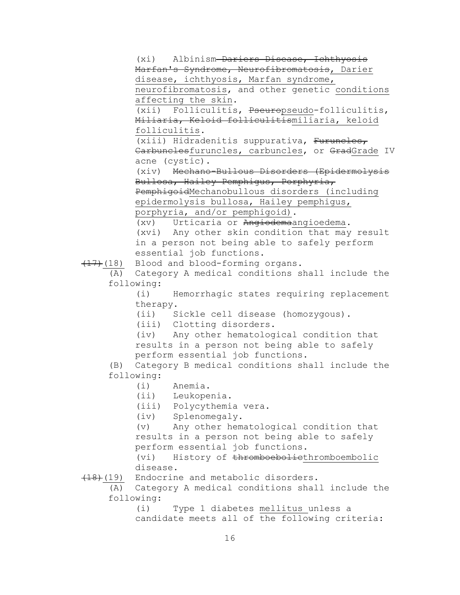(xi) Albinism Dariers Disease, Ichthyosis Marfan's Syndrome, Neurofibromatosis, Darier disease, ichthyosis, Marfan syndrome,

neurofibromatosis, and other genetic conditions affecting the skin.

(xii) Folliculitis, Pseuropseudo-folliculitis, Miliaria, Keloid folliculitismiliaria, keloid folliculitis.

(xiii) Hidradenitis suppurativa, Furuncles, Carbunclesfuruncles, carbuncles, or GradGrade IV acne (cystic).

(xiv) Mechano-Bullous Disorders (Epidermolysis Bullosa, Hailey Pemphigus, Porphyria, PemphigoidMechanobullous disorders (including epidermolysis bullosa, Hailey pemphigus,

porphyria, and/or pemphigoid).

(xv) Urticaria or Angiodemaangioedema.

(xvi) Any other skin condition that may result in a person not being able to safely perform essential job functions.

(17)(18) Blood and blood-forming organs.

(A) Category A medical conditions shall include the following:

> (i) Hemorrhagic states requiring replacement therapy.

(ii) Sickle cell disease (homozygous).

(iii) Clotting disorders.

(iv) Any other hematological condition that results in a person not being able to safely perform essential job functions.

(B) Category B medical conditions shall include the following:

(i) Anemia.

(ii) Leukopenia.

(iii) Polycythemia vera.

(iv) Splenomegaly.

(v) Any other hematological condition that results in a person not being able to safely perform essential job functions.

(vi) History of thromboeboliethromboembolic disease.

(18)(19) Endocrine and metabolic disorders.

(A) Category A medical conditions shall include the following:

(i) Type 1 diabetes mellitus unless a candidate meets all of the following criteria: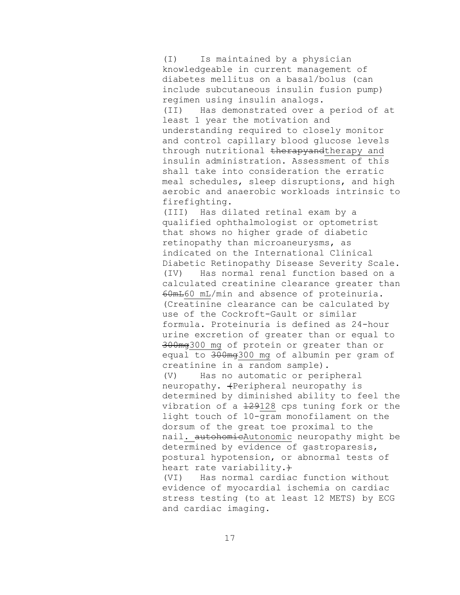(I) Is maintained by a physician knowledgeable in current management of diabetes mellitus on a basal/bolus (can include subcutaneous insulin fusion pump) regimen using insulin analogs. (II) Has demonstrated over a period of at least 1 year the motivation and understanding required to closely monitor and control capillary blood glucose levels through nutritional therapyandtherapy and insulin administration. Assessment of this shall take into consideration the erratic meal schedules, sleep disruptions, and high aerobic and anaerobic workloads intrinsic to firefighting.

(III) Has dilated retinal exam by a qualified ophthalmologist or optometrist that shows no higher grade of diabetic retinopathy than microaneurysms, as indicated on the International Clinical Diabetic Retinopathy Disease Severity Scale. (IV) Has normal renal function based on a calculated creatinine clearance greater than 60mL60 mL/min and absence of proteinuria. (Creatinine clearance can be calculated by use of the Cockroft-Gault or similar formula. Proteinuria is defined as 24-hour urine excretion of greater than or equal to 300mg300 mg of protein or greater than or equal to 300mg300 mg of albumin per gram of creatinine in a random sample).

(V) Has no automatic or peripheral neuropathy.  $\text{Feribheral}$  neuropathy is determined by diminished ability to feel the vibration of a  $129128$  cps tuning fork or the light touch of 10-gram monofilament on the dorsum of the great toe proximal to the nail. autohomicAutonomic neuropathy might be determined by evidence of gastroparesis, postural hypotension, or abnormal tests of heart rate variability.+

(VI) Has normal cardiac function without evidence of myocardial ischemia on cardiac stress testing (to at least 12 METS) by ECG and cardiac imaging.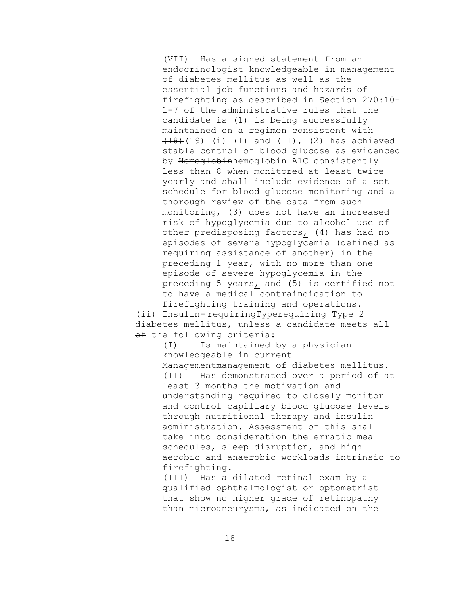(VII) Has a signed statement from an endocrinologist knowledgeable in management of diabetes mellitus as well as the essential job functions and hazards of firefighting as described in Section 270:10- 1-7 of the administrative rules that the candidate is (1) is being successfully maintained on a regimen consistent with  $(18)(19)$  (i) (I) and (II), (2) has achieved stable control of blood glucose as evidenced by Hemoglobinhemoglobin A1C consistently less than 8 when monitored at least twice yearly and shall include evidence of a set schedule for blood glucose monitoring and a thorough review of the data from such monitoring, (3) does not have an increased risk of hypoglycemia due to alcohol use of other predisposing factors, (4) has had no episodes of severe hypoglycemia (defined as requiring assistance of another) in the preceding 1 year, with no more than one episode of severe hypoglycemia in the preceding 5 years, and (5) is certified not to have a medical contraindication to firefighting training and operations.

(ii) Insulin-requiringTyperequiring Type 2 diabetes mellitus, unless a candidate meets all of the following criteria:

> (I) Is maintained by a physician knowledgeable in current

Managementmanagement of diabetes mellitus. (II) Has demonstrated over a period of at least 3 months the motivation and understanding required to closely monitor and control capillary blood glucose levels through nutritional therapy and insulin administration. Assessment of this shall take into consideration the erratic meal schedules, sleep disruption, and high aerobic and anaerobic workloads intrinsic to firefighting.

(III) Has a dilated retinal exam by a qualified ophthalmologist or optometrist that show no higher grade of retinopathy than microaneurysms, as indicated on the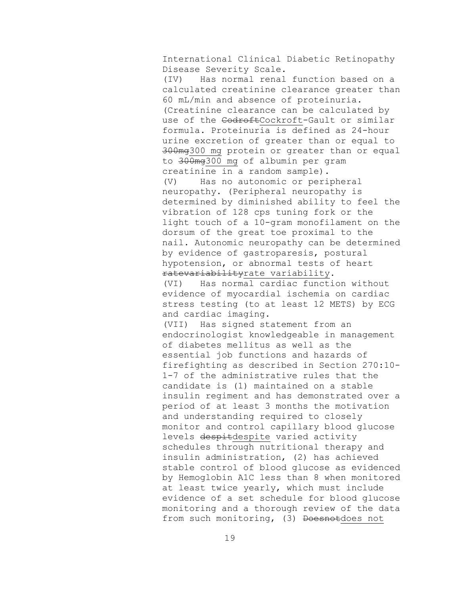International Clinical Diabetic Retinopathy Disease Severity Scale.

(IV) Has normal renal function based on a calculated creatinine clearance greater than 60 mL/min and absence of proteinuria. (Creatinine clearance can be calculated by use of the CodroftCockroft-Gault or similar formula. Proteinuria is defined as 24-hour urine excretion of greater than or equal to 300mg300 mg protein or greater than or equal to 300mg300 mg of albumin per gram creatinine in a random sample). (V) Has no autonomic or peripheral neuropathy. (Peripheral neuropathy is

determined by diminished ability to feel the vibration of 128 cps tuning fork or the light touch of a 10-gram monofilament on the dorsum of the great toe proximal to the nail. Autonomic neuropathy can be determined by evidence of gastroparesis, postural hypotension, or abnormal tests of heart ratevariabilityrate variability.

(VI) Has normal cardiac function without evidence of myocardial ischemia on cardiac stress testing (to at least 12 METS) by ECG and cardiac imaging.

(VII) Has signed statement from an endocrinologist knowledgeable in management of diabetes mellitus as well as the essential job functions and hazards of firefighting as described in Section 270:10- 1-7 of the administrative rules that the candidate is (1) maintained on a stable insulin regiment and has demonstrated over a period of at least 3 months the motivation and understanding required to closely monitor and control capillary blood glucose levels despitdespite varied activity schedules through nutritional therapy and insulin administration, (2) has achieved stable control of blood glucose as evidenced by Hemoglobin A1C less than 8 when monitored at least twice yearly, which must include evidence of a set schedule for blood glucose monitoring and a thorough review of the data from such monitoring, (3) Doesnotdoes not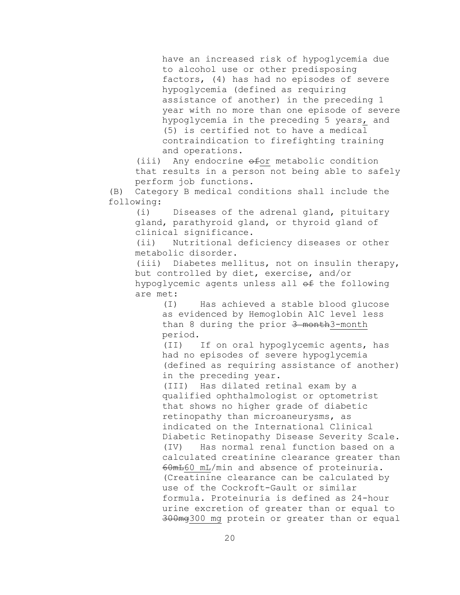have an increased risk of hypoglycemia due to alcohol use or other predisposing factors, (4) has had no episodes of severe hypoglycemia (defined as requiring assistance of another) in the preceding 1 year with no more than one episode of severe hypoglycemia in the preceding 5 years, and (5) is certified not to have a medical contraindication to firefighting training and operations.

(iii) Any endocrine  $\theta$ for metabolic condition that results in a person not being able to safely perform job functions.

(B) Category B medical conditions shall include the following:

(i) Diseases of the adrenal gland, pituitary gland, parathyroid gland, or thyroid gland of clinical significance.

(ii) Nutritional deficiency diseases or other metabolic disorder.

(iii) Diabetes mellitus, not on insulin therapy, but controlled by diet, exercise, and/or hypoglycemic agents unless all of the following are met:

> (I) Has achieved a stable blood glucose as evidenced by Hemoglobin A1C level less than 8 during the prior 3 month3-month period.

(II) If on oral hypoglycemic agents, has had no episodes of severe hypoglycemia (defined as requiring assistance of another) in the preceding year.

(III) Has dilated retinal exam by a qualified ophthalmologist or optometrist that shows no higher grade of diabetic retinopathy than microaneurysms, as indicated on the International Clinical Diabetic Retinopathy Disease Severity Scale. (IV) Has normal renal function based on a calculated creatinine clearance greater than 60mL60 mL/min and absence of proteinuria. (Creatinine clearance can be calculated by use of the Cockroft-Gault or similar formula. Proteinuria is defined as 24-hour urine excretion of greater than or equal to 300mg300 mg protein or greater than or equal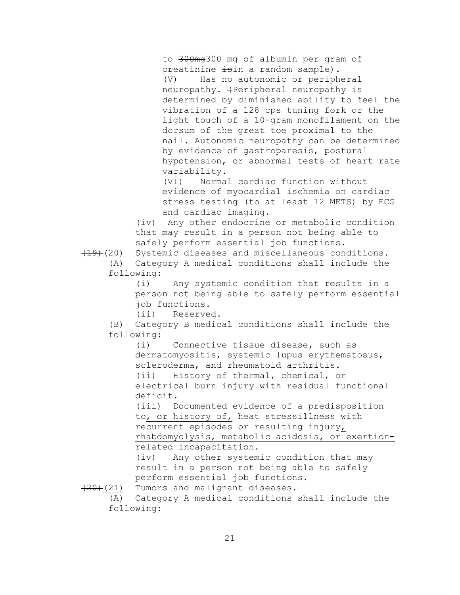to 300mg300 mg of albumin per gram of creatinine isin a random sample). (V) Has no autonomic or peripheral neuropathy.  $\{Peripheral$  neuropathy is determined by diminished ability to feel the vibration of a 128 cps tuning fork or the light touch of a 10-gram monofilament on the dorsum of the great toe proximal to the nail. Autonomic neuropathy can be determined by evidence of gastroparesis, postural hypotension, or abnormal tests of heart rate variability.

(VI) Normal cardiac function without evidence of myocardial ischemia on cardiac stress testing (to at least 12 METS) by ECG and cardiac imaging.

(iv) Any other endocrine or metabolic condition that may result in a person not being able to safely perform essential job functions.

(19)(20) Systemic diseases and miscellaneous conditions. (A) Category A medical conditions shall include the

following:

(i) Any systemic condition that results in a person not being able to safely perform essential job functions.

(ii) Reserved.

(B) Category B medical conditions shall include the following:

(i) Connective tissue disease, such as dermatomyositis, systemic lupus erythematosus, scleroderma, and rheumatoid arthritis.

(ii) History of thermal, chemical, or electrical burn injury with residual functional deficit.

(iii) Documented evidence of a predisposition to, or history of, heat stressillness with recurrent episodes or resulting injury, rhabdomyolysis, metabolic acidosis, or exertionrelated incapacitation.

(iv) Any other systemic condition that may result in a person not being able to safely perform essential job functions.

(20)(21) Tumors and malignant diseases.

(A) Category A medical conditions shall include the following: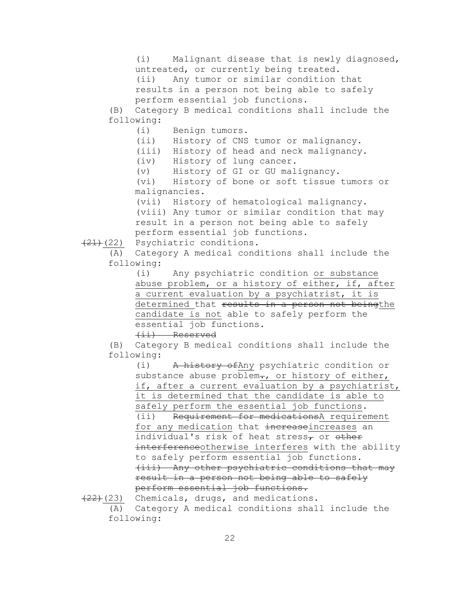(i) Malignant disease that is newly diagnosed, untreated, or currently being treated. (ii) Any tumor or similar condition that

results in a person not being able to safely perform essential job functions.

(B) Category B medical conditions shall include the following:

(i) Benign tumors.

(ii) History of CNS tumor or malignancy.

(iii) History of head and neck malignancy.

(iv) History of lung cancer.

(v) History of GI or GU malignancy.

(vi) History of bone or soft tissue tumors or malignancies.

(vii) History of hematological malignancy. (viii) Any tumor or similar condition that may result in a person not being able to safely perform essential job functions.

(21)(22) Psychiatric conditions.

(A) Category A medical conditions shall include the following:

> (i) Any psychiatric condition or substance abuse problem, or a history of either, if, after a current evaluation by a psychiatrist, it is determined that results in a person not beingthe candidate is not able to safely perform the essential job functions.

(ii) Reserved

(B) Category B medical conditions shall include the following:

(i) A history ofAny psychiatric condition or substance abuse problem $\text{-}$ , or history of either, if, after a current evaluation by a psychiatrist, it is determined that the candidate is able to safely perform the essential job functions. (ii) Requirement for medicationsA requirement for any medication that increaseincreases an individual's risk of heat stress<sub>7</sub> or other interferenceotherwise interferes with the ability to safely perform essential job functions. (iii) Any other psychiatric conditions that may result in a person not being able to safely perform essential job functions.

 $(22)$  (23) Chemicals, drugs, and medications. (A) Category A medical conditions shall include the following: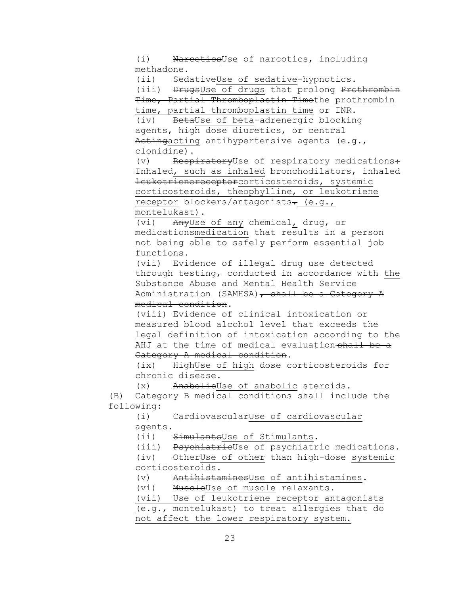(i) NarcoticsUse of narcotics, including methadone.

(ii) SedativeUse of sedative-hypnotics.

(iii) DrugsUse of drugs that prolong Prothrombin Time, Partial Thromboplastin Timethe prothrombin time, partial thromboplastin time or INR.

(iv) BetaUse of beta-adrenergic blocking agents, high dose diuretics, or central Actingacting antihypertensive agents (e.g., clonidine).

(v) RespiratoryUse of respiratory medications: Inhaled, such as inhaled bronchodilators, inhaled leukotrienereceptorcorticosteroids, systemic corticosteroids, theophylline, or leukotriene receptor blockers/antagonists- (e.g., montelukast).

(vi) AnyUse of any chemical, drug, or medicationsmedication that results in a person not being able to safely perform essential job functions.

(vii) Evidence of illegal drug use detected through testing, conducted in accordance with the Substance Abuse and Mental Health Service Administration (SAMHSA), shall be a Category A medical condition.

(viii) Evidence of clinical intoxication or measured blood alcohol level that exceeds the legal definition of intoxication according to the AHJ at the time of medical evaluation-shall be a Category A medical condition.

(ix) HighUse of high dose corticosteroids for chronic disease.

(x) AnabolieUse of anabolic steroids. (B) Category B medical conditions shall include the following:

(i) CardiovascularUse of cardiovascular agents.

(ii) SimulantsUse of Stimulants.

(iii) PsychiatricUse of psychiatric medications.

(iv) OtherUse of other than high-dose systemic

corticosteroids.

(v) AntihistaminesUse of antihistamines.

(vi) MuscleUse of muscle relaxants.

(vii) Use of leukotriene receptor antagonists (e.g., montelukast) to treat allergies that do not affect the lower respiratory system.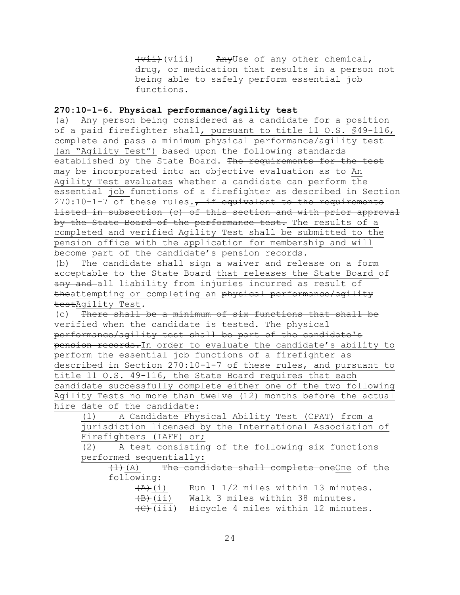(vii)(viii) AnyUse of any other chemical, drug, or medication that results in a person not being able to safely perform essential job functions.

## **270:10-1-6. Physical performance/agility test**

(a) Any person being considered as a candidate for a position of a paid firefighter shall, pursuant to title 11 O.S. §49-116, complete and pass a minimum physical performance/agility test (an "Agility Test") based upon the following standards established by the State Board. The requirements for the test may be incorporated into an objective evaluation as to An Agility Test evaluates whether a candidate can perform the essential job functions of a firefighter as described in Section  $270:10-1-7$  of these rules., if equivalent to the requirements listed in subsection (c) of this section and with prior approval by the State Board of the performance test. The results of a completed and verified Agility Test shall be submitted to the pension office with the application for membership and will become part of the candidate's pension records.

(b) The candidate shall sign a waiver and release on a form acceptable to the State Board that releases the State Board of any and all liability from injuries incurred as result of theattempting or completing an physical performance/agility testAgility Test.

(c) There shall be a minimum of six functions that shall be verified when the candidate is tested. The physical performance/agility test shall be part of the candidate's pension records.In order to evaluate the candidate's ability to perform the essential job functions of a firefighter as described in Section 270:10-1-7 of these rules, and pursuant to title 11 O.S. 49-116, the State Board requires that each candidate successfully complete either one of the two following Agility Tests no more than twelve (12) months before the actual hire date of the candidate:

(1) A Candidate Physical Ability Test (CPAT) from a jurisdiction licensed by the International Association of Firefighters (IAFF) or;

(2) A test consisting of the following six functions performed sequentially:

 $(1)$  (A) The candidate shall complete oneOne of the following:

| $\overline{(+)}$ $(i)$ |                                 |  | Run 1 1/2 miles within 13 minutes.           |
|------------------------|---------------------------------|--|----------------------------------------------|
| <del>(B)</del> (ii)    | Walk 3 miles within 38 minutes. |  |                                              |
|                        |                                 |  | (C) (iii) Bicycle 4 miles within 12 minutes. |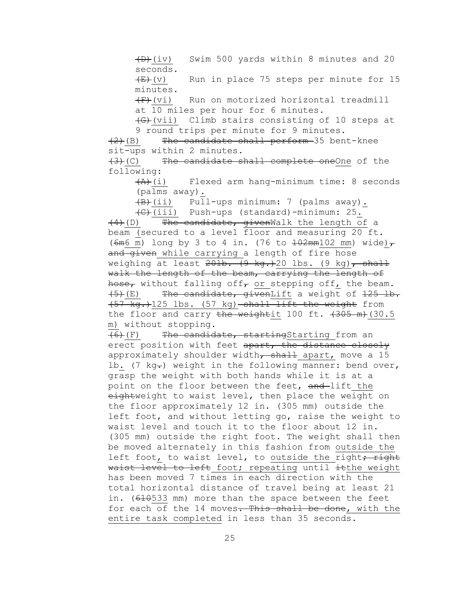$(D)$  (iv) Swim 500 yards within 8 minutes and 20 seconds.

 $\overline{E}(v)$  Run in place 75 steps per minute for 15 minutes.

 $(F+(vi))$  Run on motorized horizontal treadmill at 10 miles per hour for 6 minutes.

 $\left($ G $\right)$ (vii) Climb stairs consisting of 10 steps at 9 round trips per minute for 9 minutes.

 $(2)$ (B) The candidate shall perform 35 bent-knee sit-ups within 2 minutes.

(3)(C) The candidate shall complete oneOne of the following:

 $\overline{(A)}$ (i) Flexed arm hang-minimum time: 8 seconds (palms away).

(B)(ii) Pull-ups minimum: 7 (palms away). (C)(iii) Push-ups (standard)-minimum: 25.

 $(4)$  (D) The candidate, givenWalk the length of a beam (secured to a level floor and measuring 20 ft. ( $6m6$  m) long by 3 to 4 in. (76 to  $\frac{102mm102}{mm}$  mm) wide) $\tau$ and given while carrying a length of fire hose weighing at least  $20\pm 0.4$  (9 kg.) 20 lbs. (9 kg), shall walk the length of the beam, carrying the length of hose, without falling off, or stepping off, the beam.  $(5)$  (E) The candidate, givenLift a weight of  $125$  lb. (57 kg.)125 lbs. (57 kg) shall lift the weight from the floor and carry the weightit 100 ft.  $(30.5$ m) without stopping.

(6)(F) The candidate, startingStarting from an erect position with feet apart, the distance closely approximately shoulder width, shall apart, move a 15 lb. (7 kg-) weight in the following manner: bend over, grasp the weight with both hands while it is at a point on the floor between the feet, and-lift the eightweight to waist level, then place the weight on the floor approximately 12 in. (305 mm) outside the left foot, and without letting go, raise the weight to waist level and touch it to the floor about 12 in. (305 mm) outside the right foot. The weight shall then be moved alternately in this fashion from outside the left foot, to waist level, to outside the right; right waist level to left foot; repeating until itthe weight has been moved 7 times in each direction with the total horizontal distance of travel being at least 21 in. (610533 mm) more than the space between the feet for each of the 14 moves. This shall be done, with the entire task completed in less than 35 seconds.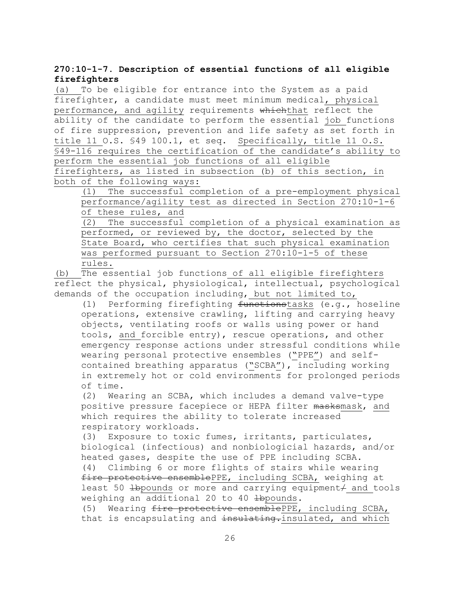## **270:10-1-7. Description of essential functions of all eligible firefighters**

(a) To be eligible for entrance into the System as a paid firefighter, a candidate must meet minimum medical, physical performance, and agility requirements whichthat reflect the ability of the candidate to perform the essential job functions of fire suppression, prevention and life safety as set forth in title 11 O.S. §49 100.1, et seq. Specifically, title 11 O.S. §49-116 requires the certification of the candidate's ability to perform the essential job functions of all eligible firefighters, as listed in subsection (b) of this section, in both of the following ways:

(1) The successful completion of a pre-employment physical performance/agility test as directed in Section 270:10-1-6 of these rules, and

(2) The successful completion of a physical examination as performed, or reviewed by, the doctor, selected by the State Board, who certifies that such physical examination was performed pursuant to Section 270:10-1-5 of these rules.

(b) The essential job functions of all eligible firefighters reflect the physical, physiological, intellectual, psychological demands of the occupation including, but not limited to,

(1) Performing firefighting functionstasks (e.g., hoseline operations, extensive crawling, lifting and carrying heavy objects, ventilating roofs or walls using power or hand tools, and forcible entry), rescue operations, and other emergency response actions under stressful conditions while wearing personal protective ensembles ("PPE") and selfcontained breathing apparatus ("SCBA"), including working in extremely hot or cold environments for prolonged periods of time.

(2) Wearing an SCBA, which includes a demand valve-type positive pressure facepiece or HEPA filter masksmask, and which requires the ability to tolerate increased respiratory workloads.

(3) Exposure to toxic fumes, irritants, particulates, biological (infectious) and nonbiologicial hazards, and/or heated gases, despite the use of PPE including SCBA. (4) Climbing 6 or more flights of stairs while wearing fire protective ensemblePPE, including SCBA, weighing at least 50  $\pm$ bpounds or more and carrying equipment $\neq$  and tools weighing an additional 20 to 40 Hbpounds.

(5) Wearing fire protective ensemblePPE, including SCBA, that is encapsulating and insulating. insulated, and which